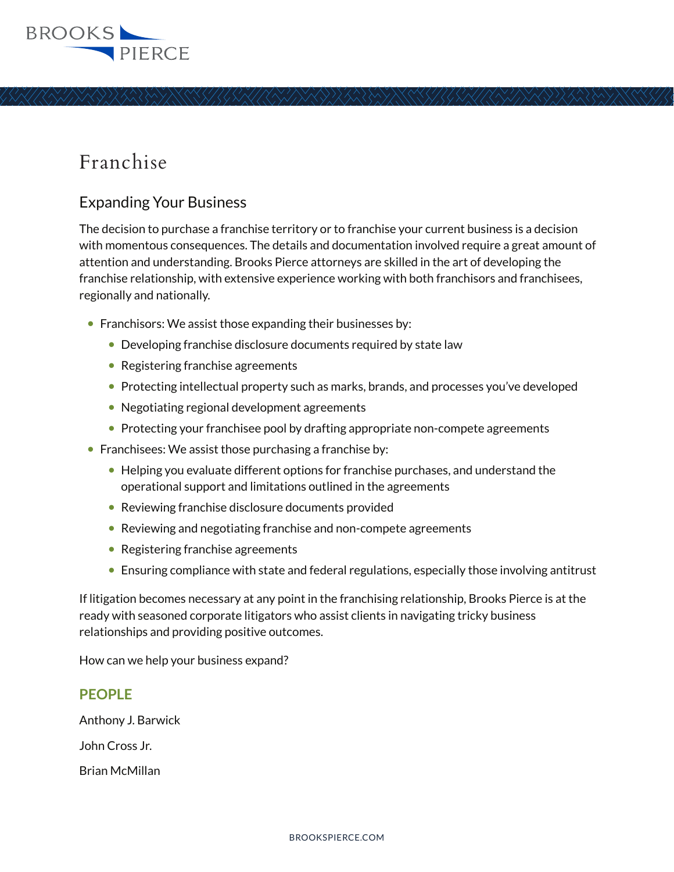

## Franchise

## Expanding Your Business

The decision to purchase a franchise territory or to franchise your current business is a decision with momentous consequences. The details and documentation involved require a great amount of attention and understanding. Brooks Pierce attorneys are skilled in the art of developing the franchise relationship, with extensive experience working with both franchisors and franchisees, regionally and nationally.

- Franchisors: We assist those expanding their businesses by:
	- Developing franchise disclosure documents required by state law
	- Registering franchise agreements
	- Protecting intellectual property such as marks, brands, and processes you've developed
	- Negotiating regional development agreements
	- Protecting your franchisee pool by drafting appropriate non-compete agreements
- $\bullet$  Franchisees: We assist those purchasing a franchise by:
	- Helping you evaluate different options for franchise purchases, and understand the operational support and limitations outlined in the agreements
	- Reviewing franchise disclosure documents provided
	- Reviewing and negotiating franchise and non-compete agreements
	- Registering franchise agreements
	- Ensuring compliance with state and federal regulations, especially those involving antitrust

If litigation becomes necessary at any point in the franchising relationship, Brooks Pierce is at the ready with seasoned corporate litigators who assist clients in navigating tricky business relationships and providing positive outcomes.

How can we help your business expand?

## **PEOPLE**

Anthony J. Barwick

John Cross Jr.

Brian McMillan